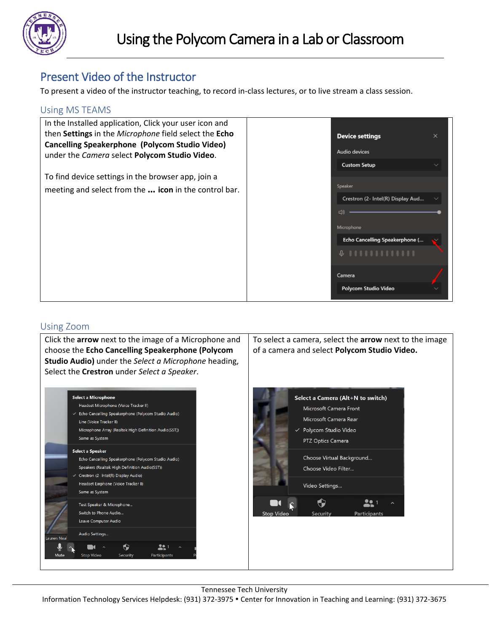

# Present Video of the Instructor

To present a video of the instructor teaching, to record in-class lectures, or to live stream a class session.

### Using MS TEAMS



### Using Zoom

Click the **arrow** next to the image of a Microphone and To select a camera, select the **arrow** next to the image choose the **Echo Cancelling Speakerphone (Polycom**  of a camera and select **Polycom Studio Video.Studio Audio)** under the *Select a Microphone* heading, Select the **Crestron** under *Select a Speaker*. Select a Microphone Select a Camera (Alt+N to switch) Headset Microphone (Voice Tracker II) Microsoft Camera Front <sup>/</sup> Echo Cancelling Speakerphone (Polycom Studio Audio) Microsoft Camera Rear Line (Voice Tracker II) Polycom Studio Video Microphone Array (Realtek High Definition Audio(SST)) Same as System PTZ Optics Camera **Select a Speaker** Choose Virtual Background... Echo Cancelling Speakerphone (Polycom Studio Audio) Speakers (Realtek High Definition Audio(SST)) Choose Video Filter... Crestron (2- Intel(R) Display Audio) Headset Earphone (Voice Tracker II) Video Settings... Same as System ♦  $221$ Test Speaker & Microphone. T Switch to Phone Audio.. Security Participants Leave Computer Audio **Audio Settings.** U  $\blacksquare$  $\bullet$  $221$ **Stop Video** Security